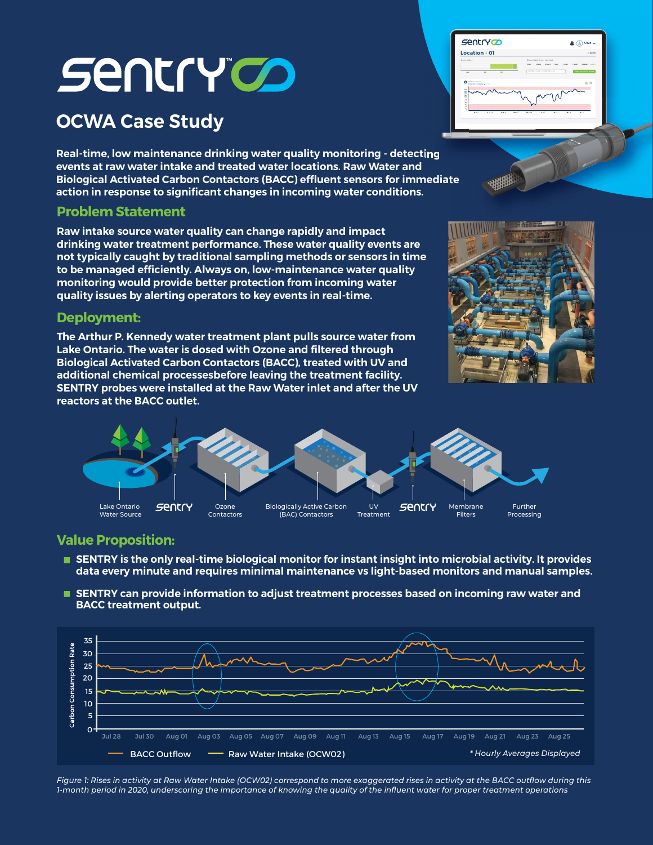# **SENTY OD**

# OCWA Case Study

Real-time, low maintenance drinking water quality monitoring - detecting events at raw water intake and treated water locations. Raw Water and Biological Activated Carbon Contactors (BACC) effluent sensors for immediate action in response to significant changes in incoming water conditions.

#### Problem Statement

Raw intake source water quality can change rapidly and impact drinking water treatment performance. These water quality events are not typically caught by traditional sampling methods or sensors in time to be managed efficiently. Always on, low-maintenance water quality monitoring would provide better protection from incoming water quality issues by alerting operators to key events in real-time.

### Deployment:

The Arthur P. Kennedy water treatment plant pulls source water from Lake Ontario. The water is dosed with Ozone and filtered through Biological Activated Carbon Contactors (BACC), treated with UV and additional chemical processesbefore leaving the treatment facility. SENTRY probes were installed at the Raw Water inlet and after the UV reactors at the BACC outlet.







### Value Proposition:

- SENTRY is the only real-time biological monitor for instant insight into microbial activity. It provides data every minute and requires minimal maintenance vs light-based monitors and manual samples.
- SENTRY can provide information to adjust treatment processes based on incoming raw water and BACC treatment output.



Figure 1: Rises in activity at Raw Water Intake (OCW02) correspond to more exaggerated rises in activity at the BACC outflow during this 1-month period in 2020, underscoring the importance of knowing the quality of the influent water for proper treatment operations